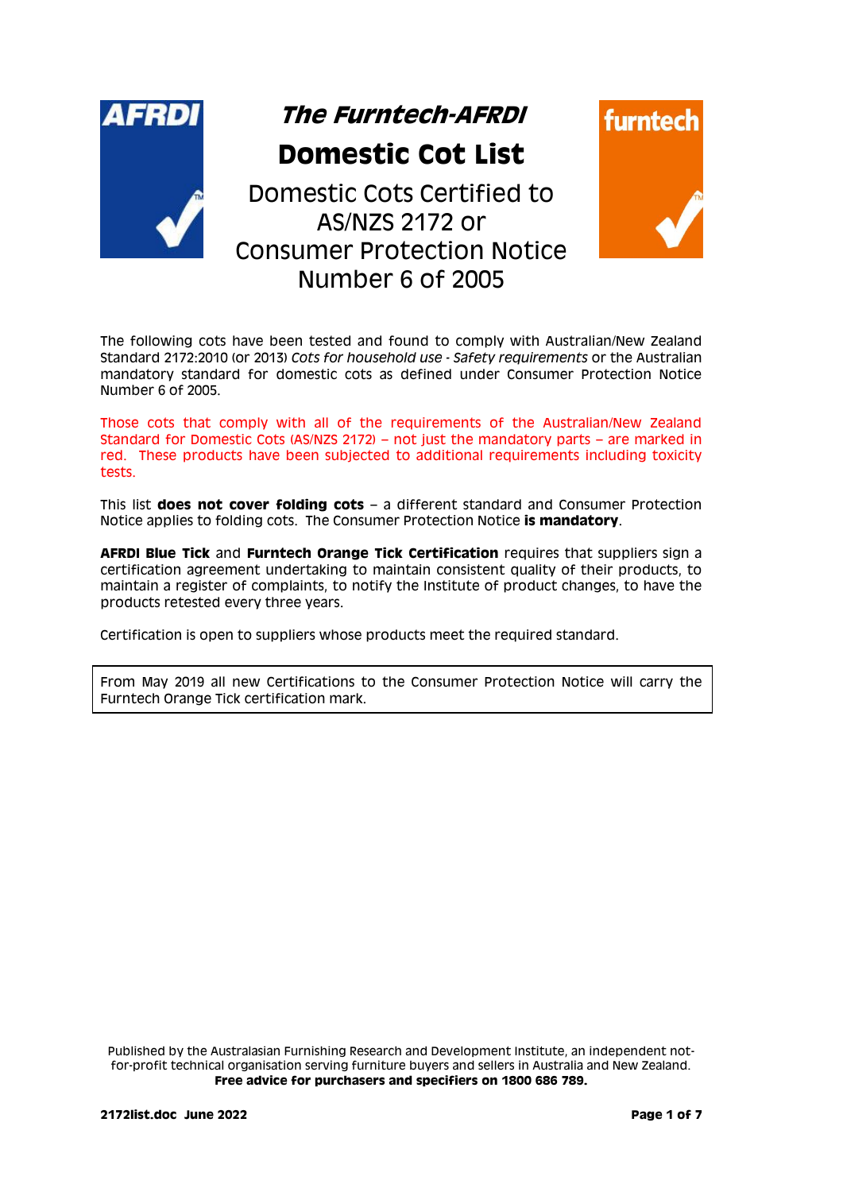

The following cots have been tested and found to comply with Australian/New Zealand Standard 2172:2010 (or 2013) *Cots for household use - Safety requirements* or the Australian mandatory standard for domestic cots as defined under Consumer Protection Notice Number 6 of 2005.

Those cots that comply with all of the requirements of the Australian/New Zealand Standard for Domestic Cots (AS/NZS 2172) – not just the mandatory parts – are marked in red. These products have been subjected to additional requirements including toxicity tests.

This list **does not cover folding cots** – a different standard and Consumer Protection Notice applies to folding cots. The Consumer Protection Notice **is mandatory**.

**AFRDI Blue Tick** and **Furntech Orange Tick Certification** requires that suppliers sign a certification agreement undertaking to maintain consistent quality of their products, to maintain a register of complaints, to notify the Institute of product changes, to have the products retested every three years.

Certification is open to suppliers whose products meet the required standard.

From May 2019 all new Certifications to the Consumer Protection Notice will carry the Furntech Orange Tick certification mark.

Published by the Australasian Furnishing Research and Development Institute, an independent notfor-profit technical organisation serving furniture buyers and sellers in Australia and New Zealand. **Free advice for purchasers and specifiers on 1800 686 789.**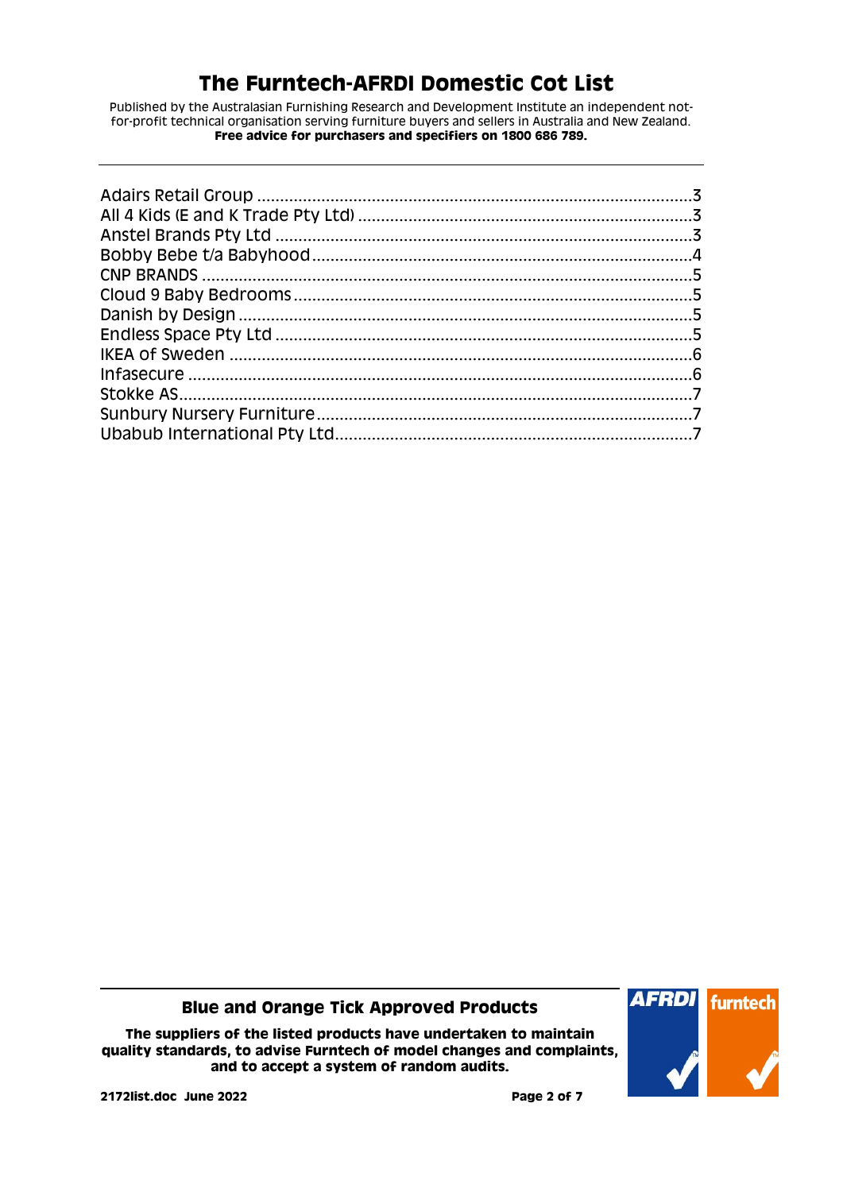Published by the Australasian Furnishing Research and Development Institute an independent notfor-profit technical organisation serving furniture buyers and sellers in Australia and New Zealand. **Free advice for purchasers and specifiers on 1800 686 789.**

**Blue and Orange Tick Approved Products**

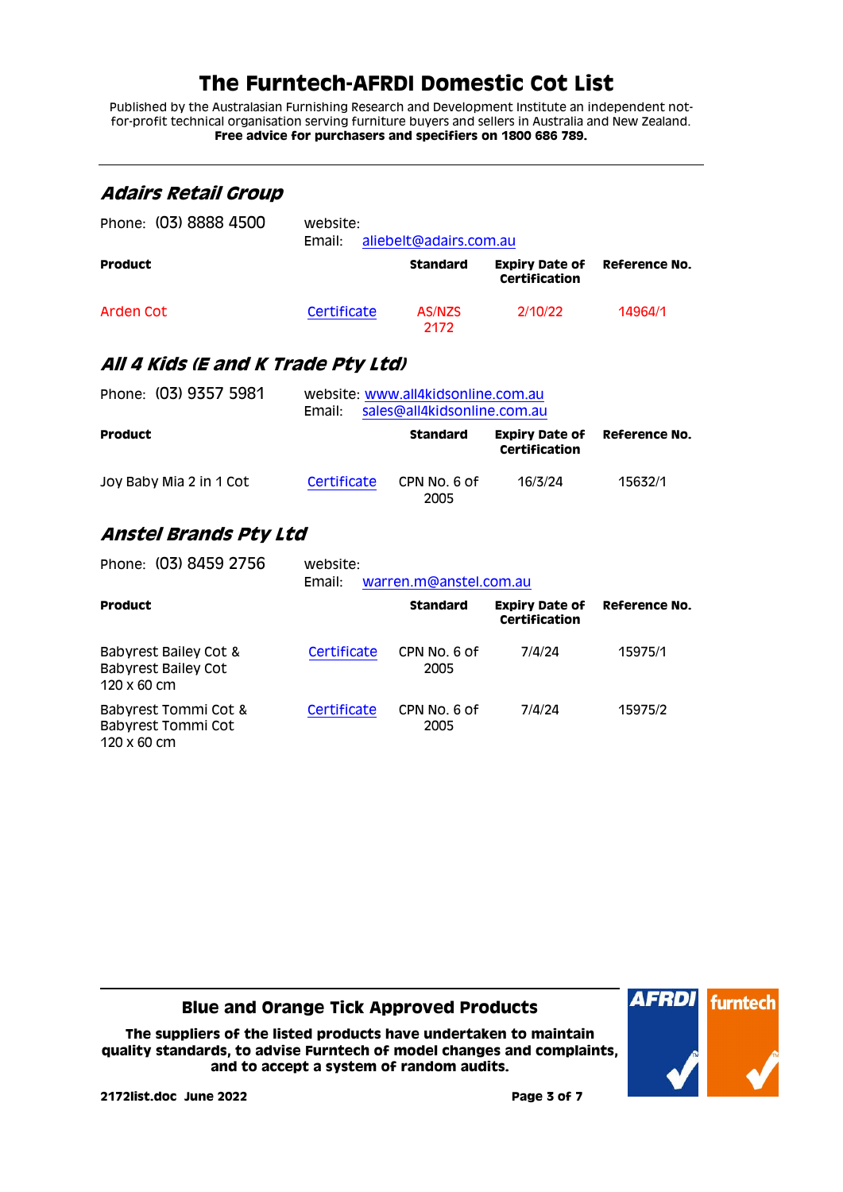Published by the Australasian Furnishing Research and Development Institute an independent notfor-profit technical organisation serving furniture buyers and sellers in Australia and New Zealand. **Free advice for purchasers and specifiers on 1800 686 789.**

<span id="page-2-2"></span><span id="page-2-1"></span><span id="page-2-0"></span>

| Adairs Retail Group                                                |                    |                                                                   |                                               |                      |
|--------------------------------------------------------------------|--------------------|-------------------------------------------------------------------|-----------------------------------------------|----------------------|
| Phone: (03) 8888 4500                                              | website:<br>Email: | aliebelt@adairs.com.au                                            |                                               |                      |
| <b>Product</b>                                                     |                    | <b>Standard</b>                                                   | <b>Expiry Date of</b><br><b>Certification</b> | Reference No.        |
| Arden Cot                                                          | Certificate        | AS/NZS<br>2172                                                    | 2/10/22                                       | 14964/1              |
| All 4 Kids (E and K Trade Pty Ltd)                                 |                    |                                                                   |                                               |                      |
| Phone: (03) 9357 5981                                              | Email:             | website: www.all4kidsonline.com.au<br>sales@all4kidsonline.com.au |                                               |                      |
| <b>Product</b>                                                     |                    | <b>Standard</b>                                                   | <b>Expiry Date of</b><br>Certification        | <b>Reference No.</b> |
| Joy Baby Mia 2 in 1 Cot                                            | Certificate        | CPN No. 6 of<br>2005                                              | 16/3/24                                       | 15632/1              |
| Anstel Brands Pty Ltd                                              |                    |                                                                   |                                               |                      |
| Phone: (03) 8459 2756                                              | website:<br>Email: | warren.m@anstel.com.au                                            |                                               |                      |
| <b>Product</b>                                                     |                    | <b>Standard</b>                                                   | <b>Expiry Date of</b><br><b>Certification</b> | <b>Reference No.</b> |
| Babyrest Bailey Cot &<br><b>Babyrest Bailey Cot</b><br>120 x 60 cm | Certificate        | CPN No. 6 of<br>2005                                              | 7/4/24                                        | 15975/1              |
| Babyrest Tommi Cot &<br>Babyrest Tommi Cot<br>120 x 60 cm          | Certificate        | CPN No. 6 of<br>2005                                              | 7/4/24                                        | 15975/2              |

**Blue and Orange Tick Approved Products**

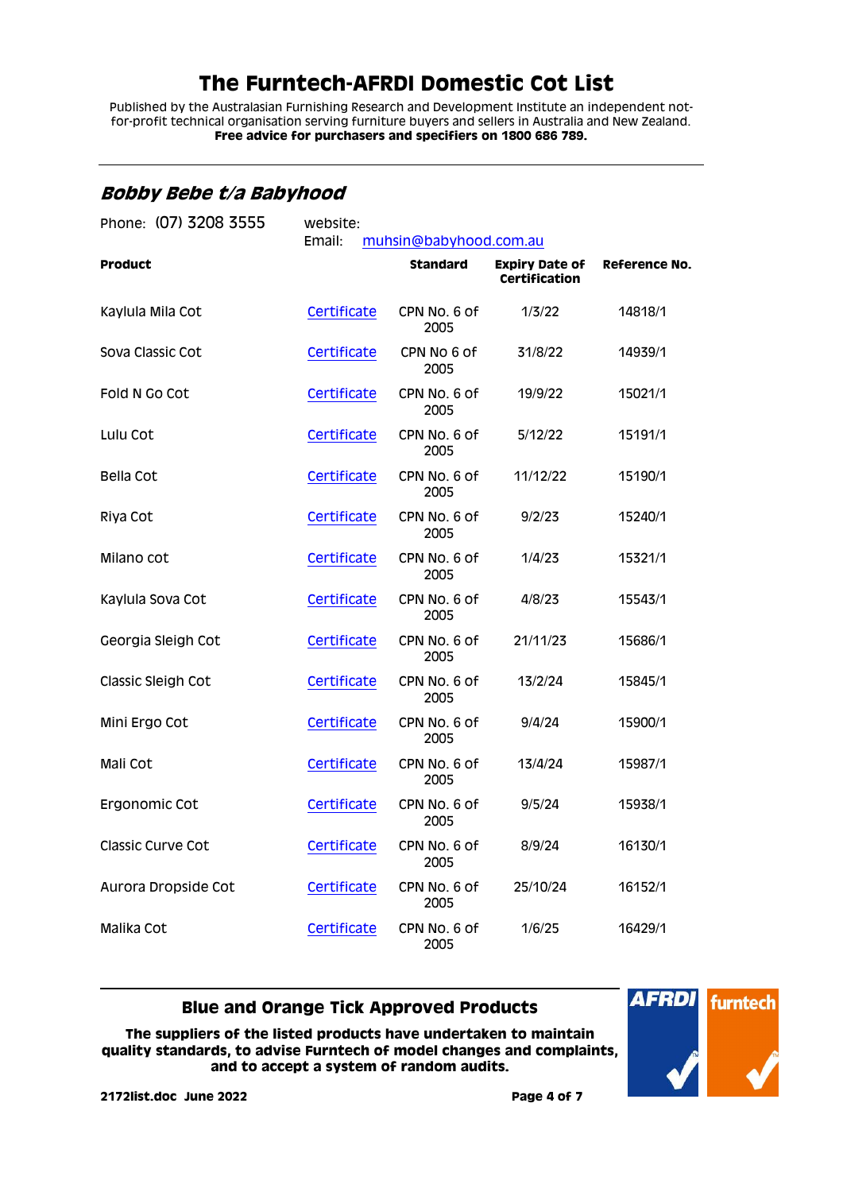Published by the Australasian Furnishing Research and Development Institute an independent notfor-profit technical organisation serving furniture buyers and sellers in Australia and New Zealand. **Free advice for purchasers and specifiers on 1800 686 789.**

### <span id="page-3-0"></span>**Bobby Bebe t/a Babyhood**

| Phone: (07) 3208 3555 | website:<br>Email:<br>muhsin@babyhood.com.au |                      |                                               |               |
|-----------------------|----------------------------------------------|----------------------|-----------------------------------------------|---------------|
| <b>Product</b>        |                                              | <b>Standard</b>      | <b>Expiry Date of</b><br><b>Certification</b> | Reference No. |
| Kaylula Mila Cot      | Certificate                                  | CPN No. 6 of<br>2005 | 1/3/22                                        | 14818/1       |
| Sova Classic Cot      | Certificate                                  | CPN No 6 of<br>2005  | 31/8/22                                       | 14939/1       |
| Fold N Go Cot         | Certificate                                  | CPN No. 6 of<br>2005 | 19/9/22                                       | 15021/1       |
| Lulu Cot              | Certificate                                  | CPN No. 6 of<br>2005 | 5/12/22                                       | 15191/1       |
| Bella Cot             | Certificate                                  | CPN No. 6 of<br>2005 | 11/12/22                                      | 15190/1       |
| Riya Cot              | Certificate                                  | CPN No. 6 of<br>2005 | 9/2/23                                        | 15240/1       |
| Milano cot            | Certificate                                  | CPN No. 6 of<br>2005 | 1/4/23                                        | 15321/1       |
| Kaylula Sova Cot      | Certificate                                  | CPN No. 6 of<br>2005 | 4/8/23                                        | 15543/1       |
| Georgia Sleigh Cot    | Certificate                                  | CPN No. 6 of<br>2005 | 21/11/23                                      | 15686/1       |
| Classic Sleigh Cot    | Certificate                                  | CPN No. 6 of<br>2005 | 13/2/24                                       | 15845/1       |
| Mini Ergo Cot         | Certificate                                  | CPN No. 6 of<br>2005 | 9/4/24                                        | 15900/1       |
| Mali Cot              | Certificate                                  | CPN No. 6 of<br>2005 | 13/4/24                                       | 15987/1       |
| Ergonomic Cot         | Certificate                                  | CPN No. 6 of<br>2005 | 9/5/24                                        | 15938/1       |
| Classic Curve Cot     | Certificate                                  | CPN No. 6 of<br>2005 | 8/9/24                                        | 16130/1       |
| Aurora Dropside Cot   | Certificate                                  | CPN No. 6 of<br>2005 | 25/10/24                                      | 16152/1       |
| Malika Cot            | Certificate                                  | CPN No. 6 of<br>2005 | 1/6/25                                        | 16429/1       |

#### **Blue and Orange Tick Approved Products**

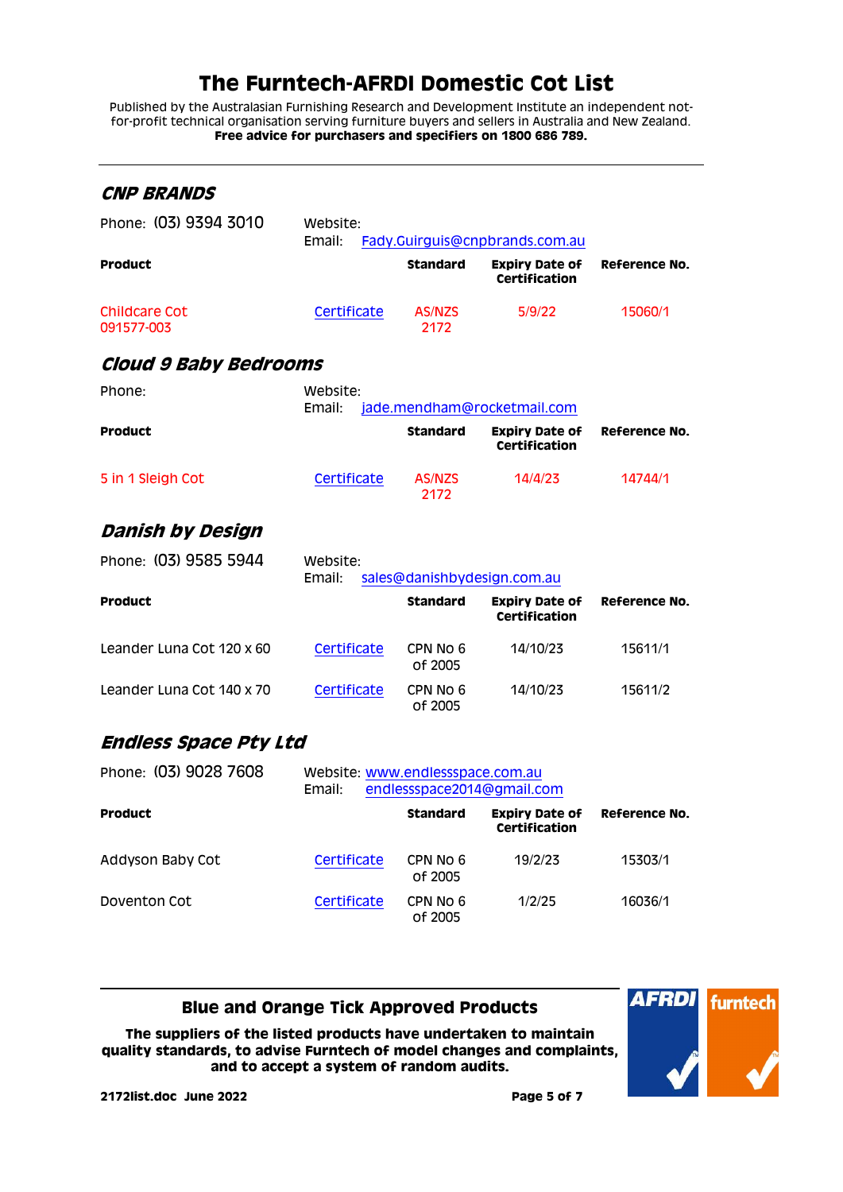Published by the Australasian Furnishing Research and Development Institute an independent notfor-profit technical organisation serving furniture buyers and sellers in Australia and New Zealand. **Free advice for purchasers and specifiers on 1800 686 789.**

<span id="page-4-2"></span><span id="page-4-1"></span><span id="page-4-0"></span>

| <b>CNP BRANDS</b>            |                                                   |                     |                                               |               |
|------------------------------|---------------------------------------------------|---------------------|-----------------------------------------------|---------------|
| Phone: (03) 9394 3010        | Website:<br>Email:                                |                     | Fady.Guirguis@cnpbrands.com.au                |               |
| Product                      |                                                   | Standard            | <b>Expiry Date of</b><br>Certification        | Reference No. |
| Childcare Cot<br>091577-003  | Certificate                                       | AS/NZS<br>2172      | 5/9/22                                        | 15060/1       |
| <b>Cloud 9 Baby Bedrooms</b> |                                                   |                     |                                               |               |
| Phone:                       | Website:<br>Email:                                |                     | jade.mendham@rocketmail.com                   |               |
| Product                      |                                                   | Standard            | <b>Expiry Date of</b><br><b>Certification</b> | Reference No. |
| 5 in 1 Sleigh Cot            | Certificate                                       | AS/NZS<br>2172      | 14/4/23                                       | 14744/1       |
| Danish by Design             |                                                   |                     |                                               |               |
| Phone: (03) 9585 5944        | Website:<br>Email:<br>sales@danishbydesign.com.au |                     |                                               |               |
| <b>Product</b>               |                                                   | Standard            | <b>Expiry Date of</b><br><b>Certification</b> | Reference No. |
| Leander Luna Cot 120 x 60    | Certificate                                       | CPN No 6<br>of 2005 | 14/10/23                                      | 15611/1       |
| Leander Luna Cot 140 x 70    | Certificate                                       | CPN No 6<br>of 2005 | 14/10/23                                      | 15611/2       |
| Endless Space Pty Ltd        |                                                   |                     |                                               |               |
| Phone: (03) 9028 7608        | Website: www.endlessspace.com.au<br>Email:        |                     | endlessspace2014@gmail.com                    |               |
| <b>Product</b>               |                                                   | <b>Standard</b>     | <b>Expiry Date of</b><br>Certification        | Reference No. |
| Addyson Baby Cot             | Certificate                                       | CPN No 6<br>of 2005 | 19/2/23                                       | 15303/1       |
| Doventon Cot                 | Certificate                                       | CPN No 6<br>of 2005 | 1/2/25                                        | 16036/1       |

<span id="page-4-3"></span>**Blue and Orange Tick Approved Products**

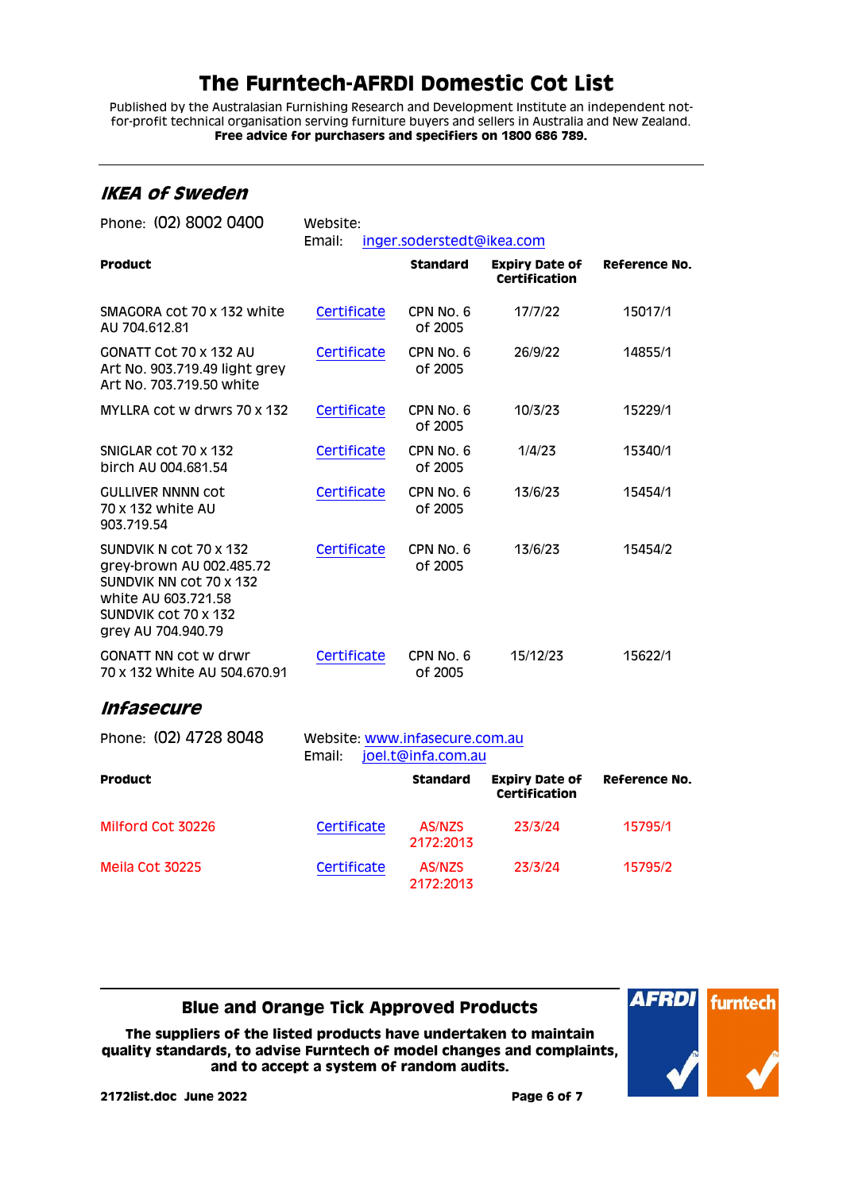Published by the Australasian Furnishing Research and Development Institute an independent notfor-profit technical organisation serving furniture buyers and sellers in Australia and New Zealand. **Free advice for purchasers and specifiers on 1800 686 789.**

### <span id="page-5-0"></span>**IKEA of Sweden**

| Phone: (02) 8002 0400                                                                                                                              | Website:<br>Email:<br>inger.soderstedt@ikea.com                |                      |                                               |               |
|----------------------------------------------------------------------------------------------------------------------------------------------------|----------------------------------------------------------------|----------------------|-----------------------------------------------|---------------|
| Product                                                                                                                                            |                                                                | <b>Standard</b>      | <b>Expiry Date of</b><br><b>Certification</b> | Reference No. |
| SMAGORA cot 70 x 132 white<br>AU 704.612.81                                                                                                        | Certificate                                                    | CPN No. 6<br>of 2005 | 17/7/22                                       | 15017/1       |
| <b>GONATT Cot 70 x 132 AU</b><br>Art No. 903.719.49 light grey<br>Art No. 703.719.50 white                                                         | Certificate                                                    | CPN No. 6<br>of 2005 | 26/9/22                                       | 14855/1       |
| MYLLRA cot w drwrs 70 x 132                                                                                                                        | Certificate                                                    | CPN No. 6<br>of 2005 | 10/3/23                                       | 15229/1       |
| SNIGLAR COT 70 x 132<br>birch AU 004.681.54                                                                                                        | Certificate                                                    | CPN No. 6<br>of 2005 | 1/4/23                                        | 15340/1       |
| <b>GULLIVER NNNN COT</b><br>70 x 132 white AU<br>903.719.54                                                                                        | Certificate                                                    | CPN No. 6<br>of 2005 | 13/6/23                                       | 15454/1       |
| SUNDVIK N COT 70 x 132<br>grey-brown AU 002.485.72<br>SUNDVIK NN COT 70 x 132<br>white AU 603.721.58<br>SUNDVIK COT 70 X 132<br>grey AU 704.940.79 | Certificate                                                    | CPN No. 6<br>of 2005 | 13/6/23                                       | 15454/2       |
| <b>GONATT NN COT W drwr</b><br>70 x 132 White AU 504,670.91                                                                                        | Certificate                                                    | CPN No. 6<br>of 2005 | 15/12/23                                      | 15622/1       |
| <i><b>Infasecure</b></i>                                                                                                                           |                                                                |                      |                                               |               |
| Phone: (02) 4728 8048                                                                                                                              | Website: www.infasecure.com.au<br>Email:<br>joel.t@infa.com.au |                      |                                               |               |
| <b>Product</b>                                                                                                                                     |                                                                | <b>Standard</b>      | <b>Expiry Date of</b><br><b>Certification</b> | Reference No. |
| Milford Cot 30226                                                                                                                                  | Certificate                                                    | AS/NZS<br>2172:2013  | 23/3/24                                       | 15795/1       |
| Meila Cot 30225                                                                                                                                    | Certificate                                                    | <b>AS/NZS</b>        | 23/3/24                                       | 15795/2       |

#### <span id="page-5-1"></span>**Blue and Orange Tick Approved Products**

2172:2013